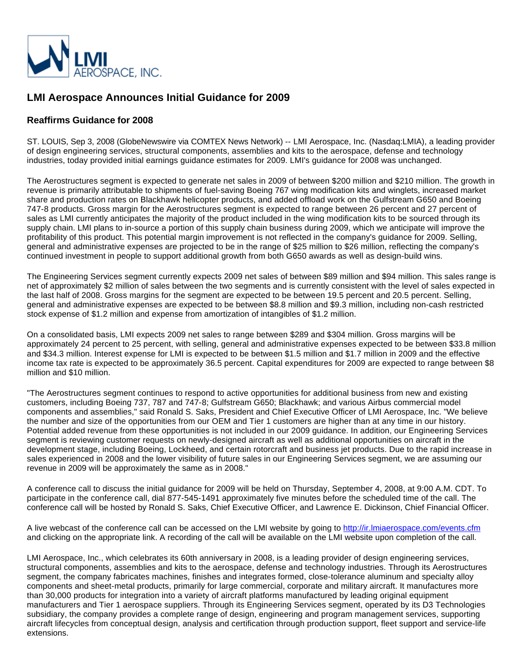

## **LMI Aerospace Announces Initial Guidance for 2009**

## **Reaffirms Guidance for 2008**

ST. LOUIS, Sep 3, 2008 (GlobeNewswire via COMTEX News Network) -- LMI Aerospace, Inc. (Nasdaq:LMIA), a leading provider of design engineering services, structural components, assemblies and kits to the aerospace, defense and technology industries, today provided initial earnings guidance estimates for 2009. LMI's guidance for 2008 was unchanged.

The Aerostructures segment is expected to generate net sales in 2009 of between \$200 million and \$210 million. The growth in revenue is primarily attributable to shipments of fuel-saving Boeing 767 wing modification kits and winglets, increased market share and production rates on Blackhawk helicopter products, and added offload work on the Gulfstream G650 and Boeing 747-8 products. Gross margin for the Aerostructures segment is expected to range between 26 percent and 27 percent of sales as LMI currently anticipates the majority of the product included in the wing modification kits to be sourced through its supply chain. LMI plans to in-source a portion of this supply chain business during 2009, which we anticipate will improve the profitability of this product. This potential margin improvement is not reflected in the company's guidance for 2009. Selling, general and administrative expenses are projected to be in the range of \$25 million to \$26 million, reflecting the company's continued investment in people to support additional growth from both G650 awards as well as design-build wins.

The Engineering Services segment currently expects 2009 net sales of between \$89 million and \$94 million. This sales range is net of approximately \$2 million of sales between the two segments and is currently consistent with the level of sales expected in the last half of 2008. Gross margins for the segment are expected to be between 19.5 percent and 20.5 percent. Selling, general and administrative expenses are expected to be between \$8.8 million and \$9.3 million, including non-cash restricted stock expense of \$1.2 million and expense from amortization of intangibles of \$1.2 million.

On a consolidated basis, LMI expects 2009 net sales to range between \$289 and \$304 million. Gross margins will be approximately 24 percent to 25 percent, with selling, general and administrative expenses expected to be between \$33.8 million and \$34.3 million. Interest expense for LMI is expected to be between \$1.5 million and \$1.7 million in 2009 and the effective income tax rate is expected to be approximately 36.5 percent. Capital expenditures for 2009 are expected to range between \$8 million and \$10 million.

"The Aerostructures segment continues to respond to active opportunities for additional business from new and existing customers, including Boeing 737, 787 and 747-8; Gulfstream G650; Blackhawk; and various Airbus commercial model components and assemblies," said Ronald S. Saks, President and Chief Executive Officer of LMI Aerospace, Inc. "We believe the number and size of the opportunities from our OEM and Tier 1 customers are higher than at any time in our history. Potential added revenue from these opportunities is not included in our 2009 guidance. In addition, our Engineering Services segment is reviewing customer requests on newly-designed aircraft as well as additional opportunities on aircraft in the development stage, including Boeing, Lockheed, and certain rotorcraft and business jet products. Due to the rapid increase in sales experienced in 2008 and the lower visibility of future sales in our Engineering Services segment, we are assuming our revenue in 2009 will be approximately the same as in 2008."

A conference call to discuss the initial guidance for 2009 will be held on Thursday, September 4, 2008, at 9:00 A.M. CDT. To participate in the conference call, dial 877-545-1491 approximately five minutes before the scheduled time of the call. The conference call will be hosted by Ronald S. Saks, Chief Executive Officer, and Lawrence E. Dickinson, Chief Financial Officer.

A live webcast of the conference call can be accessed on the LMI website by going to <http://ir.lmiaerospace.com/events.cfm> and clicking on the appropriate link. A recording of the call will be available on the LMI website upon completion of the call.

LMI Aerospace, Inc., which celebrates its 60th anniversary in 2008, is a leading provider of design engineering services, structural components, assemblies and kits to the aerospace, defense and technology industries. Through its Aerostructures segment, the company fabricates machines, finishes and integrates formed, close-tolerance aluminum and specialty alloy components and sheet-metal products, primarily for large commercial, corporate and military aircraft. It manufactures more than 30,000 products for integration into a variety of aircraft platforms manufactured by leading original equipment manufacturers and Tier 1 aerospace suppliers. Through its Engineering Services segment, operated by its D3 Technologies subsidiary, the company provides a complete range of design, engineering and program management services, supporting aircraft lifecycles from conceptual design, analysis and certification through production support, fleet support and service-life extensions.